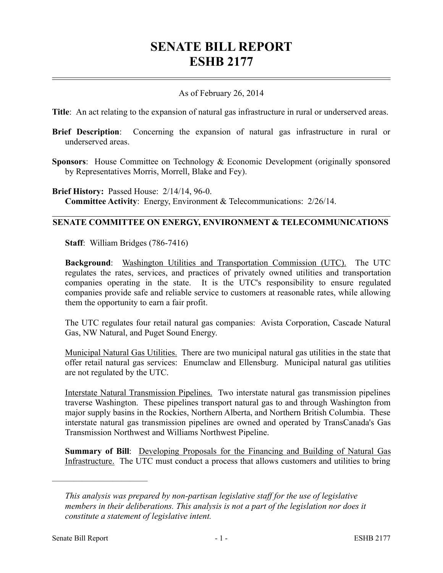## **SENATE BILL REPORT ESHB 2177**

## As of February 26, 2014

**Title**: An act relating to the expansion of natural gas infrastructure in rural or underserved areas.

- **Brief Description**: Concerning the expansion of natural gas infrastructure in rural or underserved areas.
- **Sponsors**: House Committee on Technology & Economic Development (originally sponsored by Representatives Morris, Morrell, Blake and Fey).

**Brief History:** Passed House: 2/14/14, 96-0. **Committee Activity**: Energy, Environment & Telecommunications: 2/26/14.

## **SENATE COMMITTEE ON ENERGY, ENVIRONMENT & TELECOMMUNICATIONS**

**Staff**: William Bridges (786-7416)

**Background**: Washington Utilities and Transportation Commission (UTC). The UTC regulates the rates, services, and practices of privately owned utilities and transportation companies operating in the state. It is the UTC's responsibility to ensure regulated companies provide safe and reliable service to customers at reasonable rates, while allowing them the opportunity to earn a fair profit.

The UTC regulates four retail natural gas companies: Avista Corporation, Cascade Natural Gas, NW Natural, and Puget Sound Energy.

Municipal Natural Gas Utilities. There are two municipal natural gas utilities in the state that offer retail natural gas services: Enumclaw and Ellensburg. Municipal natural gas utilities are not regulated by the UTC.

Interstate Natural Transmission Pipelines. Two interstate natural gas transmission pipelines traverse Washington. These pipelines transport natural gas to and through Washington from major supply basins in the Rockies, Northern Alberta, and Northern British Columbia. These interstate natural gas transmission pipelines are owned and operated by TransCanada's Gas Transmission Northwest and Williams Northwest Pipeline.

**Summary of Bill**: Developing Proposals for the Financing and Building of Natural Gas Infrastructure. The UTC must conduct a process that allows customers and utilities to bring

––––––––––––––––––––––

*This analysis was prepared by non-partisan legislative staff for the use of legislative members in their deliberations. This analysis is not a part of the legislation nor does it constitute a statement of legislative intent.*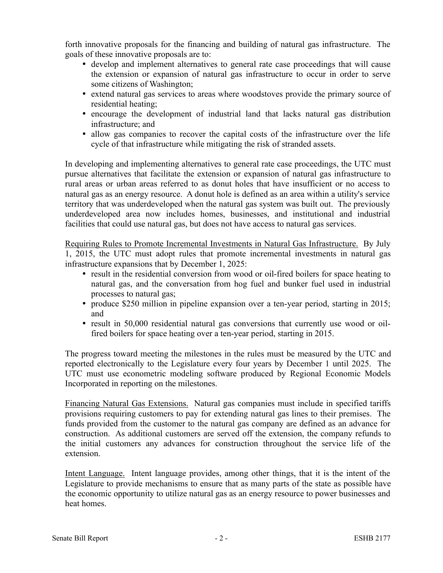forth innovative proposals for the financing and building of natural gas infrastructure. The goals of these innovative proposals are to:

- develop and implement alternatives to general rate case proceedings that will cause the extension or expansion of natural gas infrastructure to occur in order to serve some citizens of Washington;
- extend natural gas services to areas where woodstoves provide the primary source of residential heating;
- encourage the development of industrial land that lacks natural gas distribution infrastructure; and
- allow gas companies to recover the capital costs of the infrastructure over the life cycle of that infrastructure while mitigating the risk of stranded assets.

In developing and implementing alternatives to general rate case proceedings, the UTC must pursue alternatives that facilitate the extension or expansion of natural gas infrastructure to rural areas or urban areas referred to as donut holes that have insufficient or no access to natural gas as an energy resource. A donut hole is defined as an area within a utility's service territory that was underdeveloped when the natural gas system was built out. The previously underdeveloped area now includes homes, businesses, and institutional and industrial facilities that could use natural gas, but does not have access to natural gas services.

Requiring Rules to Promote Incremental Investments in Natural Gas Infrastructure. By July 1, 2015, the UTC must adopt rules that promote incremental investments in natural gas infrastructure expansions that by December 1, 2025:

- result in the residential conversion from wood or oil-fired boilers for space heating to natural gas, and the conversation from hog fuel and bunker fuel used in industrial processes to natural gas;
- produce \$250 million in pipeline expansion over a ten-year period, starting in 2015; and
- result in 50,000 residential natural gas conversions that currently use wood or oilfired boilers for space heating over a ten-year period, starting in 2015.

The progress toward meeting the milestones in the rules must be measured by the UTC and reported electronically to the Legislature every four years by December 1 until 2025. The UTC must use econometric modeling software produced by Regional Economic Models Incorporated in reporting on the milestones.

Financing Natural Gas Extensions. Natural gas companies must include in specified tariffs provisions requiring customers to pay for extending natural gas lines to their premises. The funds provided from the customer to the natural gas company are defined as an advance for construction. As additional customers are served off the extension, the company refunds to the initial customers any advances for construction throughout the service life of the extension.

Intent Language. Intent language provides, among other things, that it is the intent of the Legislature to provide mechanisms to ensure that as many parts of the state as possible have the economic opportunity to utilize natural gas as an energy resource to power businesses and heat homes.